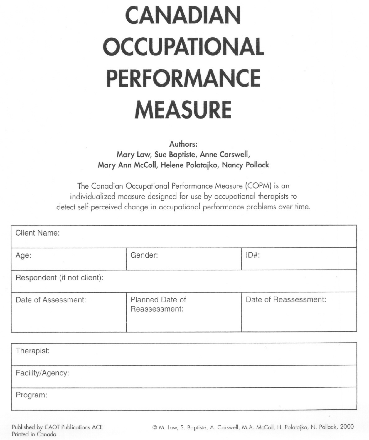# **CANADIAN OCCUPATIONAL PERFORMANCE MEASURE**

Authors:

Mary Law, Sue Baptiste, Anne Carswell, Mary Ann McColl, Helene Polatajko, Nancy Pollock

The Canadian Occupational Performance Measure (COPM) is an individualized measure designed for use by occupational therapists to detect self-perceived change in occupational performance problems over time.

| <b>Client Name:</b>         |                                  |                       |  |  |
|-----------------------------|----------------------------------|-----------------------|--|--|
| Age:                        | Gender:                          | $ID#$ :               |  |  |
| Respondent (if not client): |                                  |                       |  |  |
| Date of Assessment:         | Planned Date of<br>Reassessment: | Date of Reassessment: |  |  |

| Therapist:       |  |
|------------------|--|
| Facility/Agency: |  |
| Program:         |  |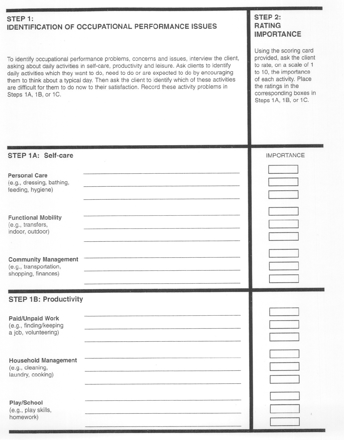#### **STEP** 1: **IDENTIFICATION OF OCCUPATIONALPERFORMANCE ISSUES**

To identify occupational performance problems, concerns and issues, interviewthe client, asking about daily activities in self-care, productivity and leisure. Ask clients to identify daily activities which they want to do, need to do or are expected to do by encouraging them to think about a typical day. Then ask the client to identify which of these activities are difficult for them to do now to their satisfaction. Record these activity problems in Steps 1A, 18, or 1C.

## **STEP 2: RATING IMPORTANCE**

Using the scoring card provided, ask the client to rate, on a scale of 1 to 10, the importance of each activity. Place the ratings in the corresponding boxes in Steps 1A, 18, or 1C.

| STEP 1A: Self-care                                                           | <b>IMPORTANCE</b> |
|------------------------------------------------------------------------------|-------------------|
| <b>Personal Care</b><br>(e.g., dressing, bathing,<br>feeding, hygiene)       |                   |
| <b>Functional Mobility</b><br>(e.g., transfers,<br>indoor, outdoor)          |                   |
| <b>Community Management</b><br>(e.g., transportation,<br>shopping, finances) |                   |
|                                                                              |                   |
| <b>STEP 1B: Productivity</b>                                                 |                   |
| Paid/Unpaid Work<br>(e.g., finding/keeping<br>a job, volunteering)           |                   |
| <b>Household Management</b><br>(e.g., cleaning,<br>laundry, cooking)         |                   |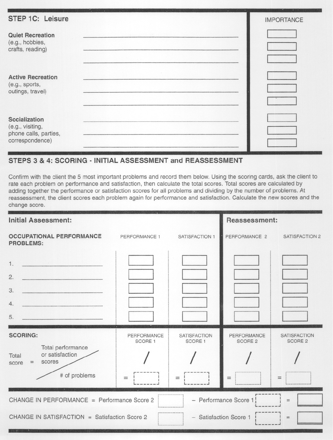| <b>STEP 1C: Leisure</b>                                                       | $\mathbf{r}$ . The state<br><b>IMPORTANCE</b> |
|-------------------------------------------------------------------------------|-----------------------------------------------|
| <b>Quiet Recreation</b><br>(e.g., hobbies,<br>crafts, reading)                |                                               |
| <b>Active Recreation</b><br>(e.g., sports,<br>outings, travel)                |                                               |
| Socialization<br>(e.g., visiting,<br>phone calls, parties,<br>correspondence) |                                               |

## STEPS <sup>3</sup> & 4: SCORING -INITIAL ASSESSMENT and REASSESSMENT

Confirm with the client the 5 most important problems and record them below. Using the scoring cards, ask the client to rate each problem on performance and satisfaction, then calculate the total scores. Total scores are calculated by adding together the performance or satisfaction scores for all problems and dividing by the number of problems. At reassessment, the client scores each problem again for performance and satisfaction. Calculate the new scores and the change score.

| <b>Initial Assessment:</b>                                                                                                                                    |                        |                                | Reassessment:          |                                       |
|---------------------------------------------------------------------------------------------------------------------------------------------------------------|------------------------|--------------------------------|------------------------|---------------------------------------|
| <b>OCCUPATIONAL PERFORMANCE</b><br><b>PROBLEMS:</b>                                                                                                           | PERFORMANCE 1          | SATISFACTION 1                 | PERFORMANCE 2          | <b>SATISFACTION 2</b>                 |
| 1.<br>2.<br>3.<br>4.                                                                                                                                          |                        |                                |                        |                                       |
| 5.                                                                                                                                                            |                        |                                |                        |                                       |
| <b>SCORING:</b><br>Total performance                                                                                                                          | PERFORMANCE<br>SCORE 1 | <b>SATISFACTION</b><br>SCORE 1 | PERFORMANCE<br>SCORE 2 | <b>SATISFACTION</b><br><b>SCORE 2</b> |
| or satisfaction<br>Total<br>scores<br>$\equiv$<br>score<br># of problems                                                                                      | $=$                    | $=$                            | $=$                    | $=$                                   |
| CHANGE IN PERFORMANCE = Performance Score 2<br>- Performance Score 1<br>$=$<br>CHANGE IN SATISFACTION = Satisfaction Score 2<br>- Satisfaction Score 1<br>$=$ |                        |                                |                        |                                       |